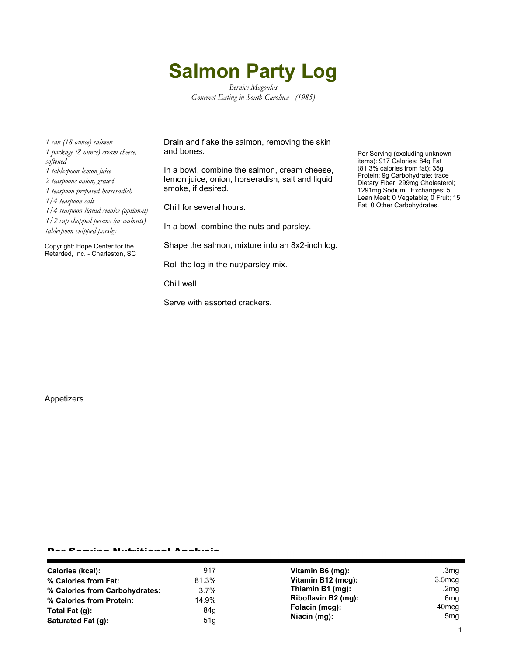## **Salmon Party Log**

*Bernice Magoulas Gourmet Eating in South Carolina - (1985)*

*1 can (18 ounce) salmon 1 package (8 ounce) cream cheese, softened 1 tablespoon lemon juice 2 teaspoons onion, grated 1 teaspoon prepared horseradish 1/4 teaspoon salt 1/4 teaspoon liquid smoke (optional) 1/2 cup chopped pecans (or walnuts) tablespoon snipped parsley*

Copyright: Hope Center for the Retarded, Inc. - Charleston, SC

Drain and flake the salmon, removing the skin and bones.

In a bowl, combine the salmon, cream cheese, lemon juice, onion, horseradish, salt and liquid smoke, if desired.

Chill for several hours.

In a bowl, combine the nuts and parsley.

Shape the salmon, mixture into an 8x2-inch log.

Roll the log in the nut/parsley mix.

Chill well.

Serve with assorted crackers.

Per Serving (excluding unknown items): 917 Calories; 84g Fat (81.3% calories from fat); 35g Protein; 9g Carbohydrate; trace Dietary Fiber; 299mg Cholesterol; 1291mg Sodium. Exchanges: 5 Lean Meat; 0 Vegetable; 0 Fruit; 15 Fat; 0 Other Carbohydrates.

Appetizers

## Per Serving Nutritional Analysis

| Calories (kcal):               | 917   | Vitamin B6 (mg):    | .3mg               |
|--------------------------------|-------|---------------------|--------------------|
| % Calories from Fat:           | 81.3% | Vitamin B12 (mcg):  | 3.5 <sub>mcq</sub> |
| % Calories from Carbohydrates: | 3.7%  | Thiamin B1 (mg):    | .2mg               |
| % Calories from Protein:       | 14.9% | Riboflavin B2 (mg): | .6mg               |
| Total Fat $(q)$ :              | 84g   | Folacin (mcg):      | 40 <sub>mcg</sub>  |
| Saturated Fat (g):             | 51g   | Niacin (mg):        | 5 <sub>mg</sub>    |